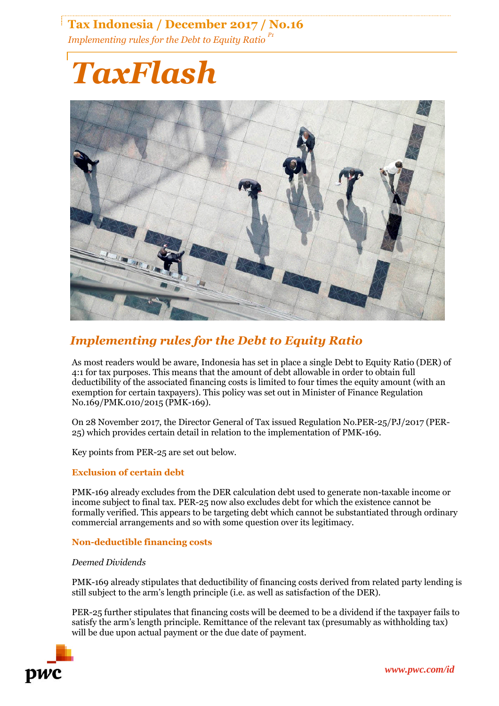## **Tax Indonesia / December 2017 / No.16** *Implementing rules for the Debt to Equity Ratio P1*

# *TaxFlash*



## *Implementing rules for the Debt to Equity Ratio*

As most readers would be aware, Indonesia has set in place a single Debt to Equity Ratio (DER) of 4:1 for tax purposes. This means that the amount of debt allowable in order to obtain full deductibility of the associated financing costs is limited to four times the equity amount (with an exemption for certain taxpayers). This policy was set out in Minister of Finance Regulation No.169/PMK.010/2015 (PMK-169).

On 28 November 2017, the Director General of Tax issued Regulation No.PER-25/PJ/2017 (PER-25) which provides certain detail in relation to the implementation of PMK-169.

Key points from PER-25 are set out below.

#### **Exclusion of certain debt**

PMK-169 already excludes from the DER calculation debt used to generate non-taxable income or income subject to final tax. PER-25 now also excludes debt for which the existence cannot be formally verified. This appears to be targeting debt which cannot be substantiated through ordinary commercial arrangements and so with some question over its legitimacy.

#### **Non-deductible financing costs**

#### *Deemed Dividends*

PMK-169 already stipulates that deductibility of financing costs derived from related party lending is still subject to the arm's length principle (i.e. as well as satisfaction of the DER).

PER-25 further stipulates that financing costs will be deemed to be a dividend if the taxpayer fails to satisfy the arm's length principle. Remittance of the relevant tax (presumably as withholding tax) will be due upon actual payment or the due date of payment.

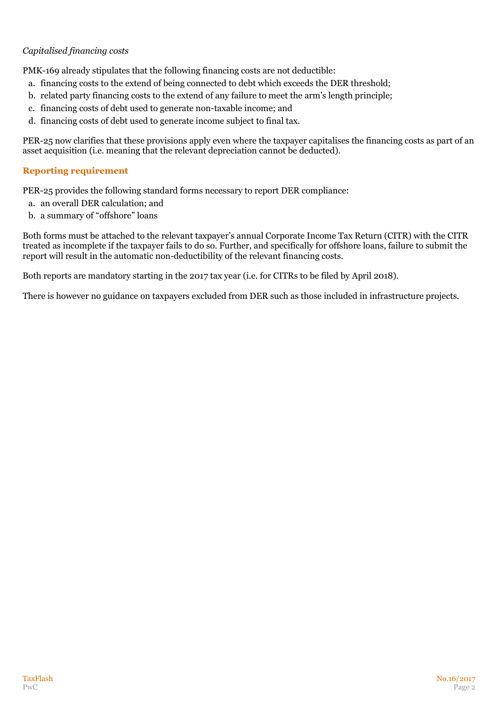### *Capitalised financing costs*

PMK-169 already stipulates that the following financing costs are not deductible:

- a. financing costs to the extend of being connected to debt which exceeds the DER threshold;
- b. related party financing costs to the extend of any failure to meet the arm's length principle;
- c. financing costs of debt used to generate non-taxable income; and
- d. financing costs of debt used to generate income subject to final tax.

PER-25 now clarifies that these provisions apply even where the taxpayer capitalises the financing costs as part of an asset acquisition (i.e. meaning that the relevant depreciation cannot be deducted).

### **Reporting requirement**

PER-25 provides the following standard forms necessary to report DER compliance:

- a. an overall DER calculation; and
- b. a summary of "offshore" loans

Both forms must be attached to the relevant taxpayer's annual Corporate Income Tax Return (CITR) with the CITR treated as incomplete if the taxpayer fails to do so. Further, and specifically for offshore loans, failure to submit the report will result in the automatic non-deductibility of the relevant financing costs.

Both reports are mandatory starting in the 2017 tax year (i.e. for CITRs to be filed by April 2018).

There is however no guidance on taxpayers excluded from DER such as those included in infrastructure projects.